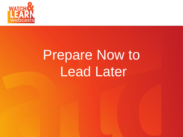

## Prepare Now to **Lead Later**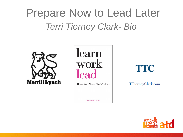## Prepare Now to Lead Later *Terri Tierney Clark- Bio*



learn work leac

Things Your Mentor Won't Tell You

**TERRI TIERNEY CLARK** 

**TTC** 

TTierneyClark.com

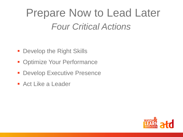## Prepare Now to Lead Later *Four Critical Actions*

- **Develop the Right Skills**
- **Optimize Your Performance**
- **Develop Executive Presence**
- **Act Like a Leader**

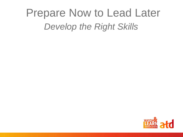## Prepare Now to Lead Later *Develop the Right Skills*

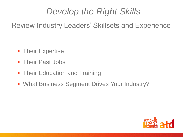#### *Develop the Right Skills*

Review Industry Leaders' Skillsets and Experience

- **Their Expertise**
- **Their Past Jobs**
- Their Education and Training
- **What Business Segment Drives Your Industry?**

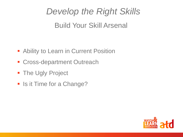## *Develop the Right Skills* Build Your Skill Arsenal

- **Ability to Learn in Current Position**
- **Cross-department Outreach**
- **The Ugly Project**
- **In Itela Time for a Change?**

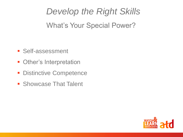*Develop the Right Skills* What's Your Special Power?

- **Self-assessment**
- **Other's Interpretation**
- **Distinctive Competence**
- **Showcase That Talent**

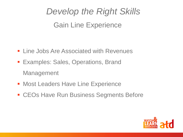#### *Develop the Right Skills* Gain Line Experience

- **Example 3 Line Jobs Are Associated with Revenues**
- **Examples: Sales, Operations, Brand** Management
- **Most Leaders Have Line Experience**
- **ECOS Have Run Business Segments Before**

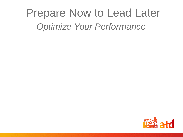## Prepare Now to Lead Later *Optimize Your Performance*

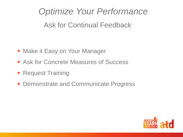*Optimize Your Performance* Ask for Continual Feedback

- **Make it Easy on Your Manager**
- **Ask for Concrete Measures of Success**
- **Request Training**
- **Demonstrate and Communicate Progress**

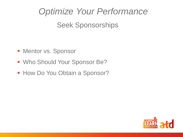#### *Optimize Your Performance*

#### Seek Sponsorships

- **Mentor vs. Sponsor**
- **Who Should Your Sponsor Be?**
- **How Do You Obtain a Sponsor?**

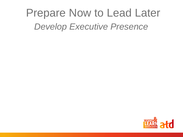## Prepare Now to Lead Later *Develop Executive Presence*

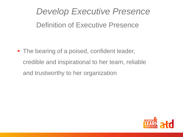#### *Develop Executive Presence* Definition of Executive Presence

• The bearing of a poised, confident leader, credible and inspirational to her team, reliable and trustworthy to her organization

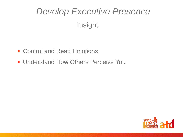## *Develop Executive Presence* Insight

- **Control and Read Emotions**
- **Understand How Others Perceive You**

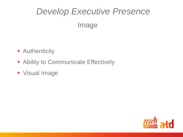## *Develop Executive Presence* Image

- **-** Authenticity
- **Ability to Communicate Effectively**
- **Visual Image**

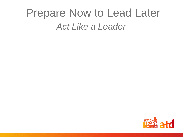## Prepare Now to Lead Later *Act Like a Leader*

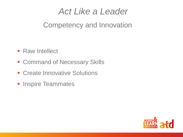#### *Act Like a Leader*

#### Competency and Innovation

- **Raw Intellect**
- **Exercise Command of Necessary Skills**
- **E** Create Innovative Solutions
- **Inspire Teammates**

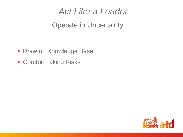#### *Act Like a Leader*

#### Operate in Uncertainty

- **Draw on Knowledge Base**
- **Exercise Comfort Taking Risks**

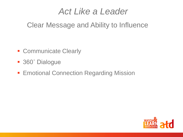#### *Act Like a Leader*

#### Clear Message and Ability to Influence

- **Communicate Clearly**
- 360° Dialogue
- **Emotional Connection Regarding Mission**

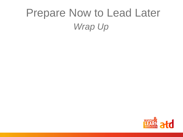## Prepare Now to Lead Later *Wrap Up*

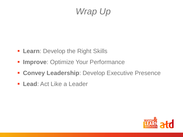#### *Wrap Up*

- **Learn: Develop the Right Skills**
- **Improve: Optimize Your Performance**
- **EXECUTE: Convey Leadership: Develop Executive Presence**
- **Lead**: Act Like a Leader